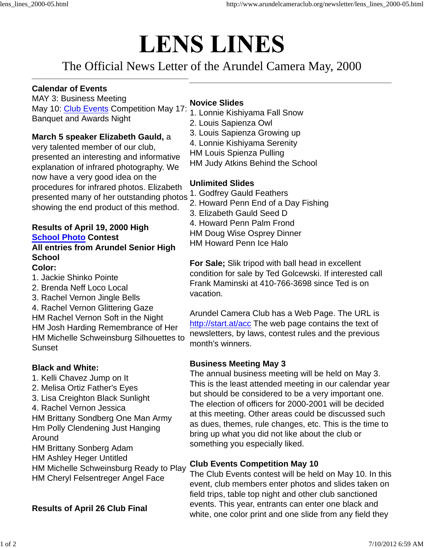# **LENS LINES**

## The Official News Letter of the Arundel Camera May, 2000

#### **Calendar of Events**

MAY 3: Business Meeting May 10: Club Events Competition May 17: Banquet and Awards Night

**March 5 speaker Elizabeth Gauld,** a

very talented member of our club, presented an interesting and informative explanation of infrared photography. We now have a very good idea on the procedures for infrared photos. Elizabeth presented many of her outstanding photos showing the end product of this method.

#### **Results of April 19, 2000 High School Photo Contest**

### **All entries from Arundel Senior High School**

**Color:**

- 1. Jackie Shinko Pointe
- 2. Brenda Neff Loco Local
- 3. Rachel Vernon Jingle Bells

4. Rachel Vernon Glittering Gaze HM Rachel Vernon Soft in the Night HM Josh Harding Remembrance of Her HM Michelle Schweinsburg Silhouettes to Sunset

#### **Black and White:**

- 1. Kelli Chavez Jump on It
- 2. Melisa Ortiz Father's Eyes
- 3. Lisa Creighton Black Sunlight
- 4. Rachel Vernon Jessica
- HM Brittany Sondberg One Man Army Hm Polly Clendening Just Hanging Around

HM Brittany Sonberg Adam

- HM Ashley Heger Untitled
- HM Michelle Schweinsburg Ready to Play HM Cheryl Felsentreger Angel Face

**Results of April 26 Club Final**

#### **Novice Slides**

- 1. Lonnie Kishiyama Fall Snow
- 2. Louis Sapienza Owl
- 3. Louis Sapienza Growing up
- 4. Lonnie Kishiyama Serenity
- HM Louis Spienza Pulling
- HM Judy Atkins Behind the School

#### **Unlimited Slides**

- 1. Godfrey Gauld Feathers
- 2. Howard Penn End of a Day Fishing
- 3. Elizabeth Gauld Seed D
- 4. Howard Penn Palm Frond
- HM Doug Wise Osprey Dinner
- HM Howard Penn Ice Halo

**For Sale;** Slik tripod with ball head in excellent condition for sale by Ted Golcewski. If interested call Frank Maminski at 410-766-3698 since Ted is on vacation.

Arundel Camera Club has a Web Page. The URL is http://start.at/acc The web page contains the text of newsletters, by laws, contest rules and the previous month's winners.

#### **Business Meeting May 3**

The annual business meeting will be held on May 3. This is the least attended meeting in our calendar year but should be considered to be a very important one. The election of officers for 2000-2001 will be decided at this meeting. Other areas could be discussed such as dues, themes, rule changes, etc. This is the time to bring up what you did not like about the club or something you especially liked.

#### **Club Events Competition May 10**

The Club Events contest will be held on May 10. In this event, club members enter photos and slides taken on field trips, table top night and other club sanctioned events. This year, entrants can enter one black and white, one color print and one slide from any field they